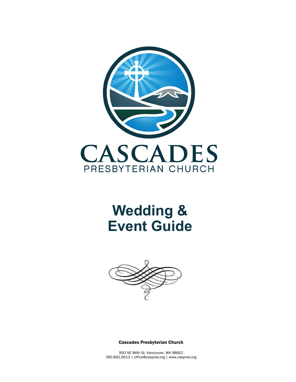

# **Wedding & Event Guide**



Cascades Presbyterian Church

950 NE 86th St. Vancouver, WA 98662 360.892.6613 | office@caspres.org | www.caspres.org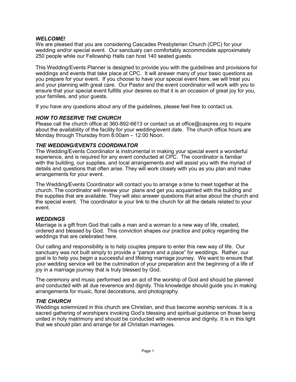## *WELCOME!*

We are pleased that you are considering Cascades Presbyterian Church (CPC) for your wedding and/or special event. Our sanctuary can comfortably accommodate approximately 250 people while our Fellowship Halls can host 140 seated guests.

This Wedding/Events Planner is designed to provide you with the guidelines and provisions for weddings and events that take place at CPC. It will answer many of your basic questions as you prepare for your event. If you choose to have your special event here, we will treat you and your planning with great care. Our Pastor and the event coordinator will work with you to ensure that your special event fulfills your desires so that it is an occasion of great joy for you, your families, and your guests.

If you have any questions about any of the guidelines, please feel free to contact us.

# *HOW TO RESERVE THE CHURCH*

Please call the church office at 360-892-6613 or contact us at office@caspres.org to inquire about the availability of the facility for your wedding/event date. The church office hours are Monday through Thursday from 8:00am – 12:00 Noon.

# *THE WEDDING/EVENTS COORDINATOR*

The Wedding/Events Coordinator is instrumental in making your special event a wonderful experience, and is required for any event conducted at CPC. The coordinator is familiar with the building, our supplies, and local arrangements and will assist you with the myriad of details and questions that often arise. They will work closely with you as you plan and make arrangements for your event.

The Wedding/Events Coordinator will contact you to arrange a time to meet together at the church. The coordinator will review your plans and get you acquainted with the building and the supplies that are available. They will also answer questions that arise about the church and the special event. The coordinator is your link to the church for all the details related to your event.

# *WEDDINGS*

Marriage is a gift from God that calls a man and a woman to a new way of life, created, ordered and blessed by God. This conviction shapes our practice and policy regarding the weddings that are celebrated here.

Our calling and responsibility is to help couples prepare to enter this new way of life. Our sanctuary was not built simply to provide a "parson and a place" for weddings. Rather, our goal is to help you begin a successful and lifelong marriage journey. We want to ensure that your wedding service will be the culmination of your preparation and the beginning of a life of joy in a marriage journey that is truly blessed by God.

The ceremony and music performed are an act of the worship of God and should be planned and conducted with all due reverence and dignity. This knowledge should guide you in making arrangements for music, floral decorations, and photography.

# *THE CHURCH*

Weddings solemnized in this church are Christian, and thus become worship services. It is a sacred gathering of worshipers invoking God's blessing and spiritual guidance on those being united in holy matrimony and should be conducted with reverence and dignity. It is in this light that we should plan and arrange for all Christian marriages.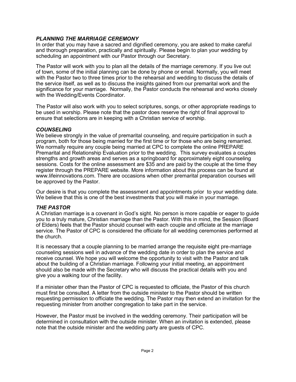# *PLANNING THE MARRIAGE CEREMONY*

In order that you may have a sacred and dignified ceremony, you are asked to make careful and thorough preparation, practically and spiritually. Please begin to plan your wedding by scheduling an appointment with our Pastor through our Secretary.

The Pastor will work with you to plan all the details of the marriage ceremony. If you live out of town, some of the initial planning can be done by phone or email. Normally, you will meet with the Pastor two to three times prior to the rehearsal and wedding to discuss the details of the service itself, as well as to discuss the insights gained from our premarital work and the significance for your marriage. Normally, the Pastor conducts the rehearsal and works closely with the Wedding/Events Coordinator.

The Pastor will also work with you to select scriptures, songs, or other appropriate readings to be used in worship. Please note that the pastor does reserve the right of final approval to ensure that selections are in keeping with a Christian service of worship.

## *COUNSELING*

We believe strongly in the value of premarital counseling, and require participation in such a program, both for those being married for the first time or for those who are being remarried. We normally require any couple being married at CPC to complete the online PREPARE Premarital and Relationship Evaluation prior to the wedding. This survey evaluates a couples strengths and growth areas and serves as a springboard for approximately eight counseling sessions. Costs for the online assessment are \$35 and are paid by the couple at the time they register through the PREPARE website. More information about this process can be found at www.lifeinnovations.com. There are occasions when other premarital preparation courses will be approved by the Pastor.

Our desire is that you complete the assessment and appointments prior to your wedding date. We believe that this is one of the best investments that you will make in your marriage.

# *THE PASTOR*

A Christian marriage is a covenant in God's sight. No person is more capable or eager to guide you to a truly mature, Christian marriage than the Pastor. With this in mind, the Session (Board of Elders) feels that the Pastor should counsel with each couple and officiate at the marriage service. The Pastor of CPC is considered the officiate for all wedding ceremonies performed at the church.

It is necessary that a couple planning to be married arrange the requisite eight pre-marriage counseling sessions well in advance of the wedding date in order to plan the service and receive counsel. We hope you will welcome the opportunity to visit with the Pastor and talk about the building of a Christian marriage. Following your initial meeting, an appointment should also be made with the Secretary who will discuss the practical details with you and give you a walking tour of the facility.

If a minister other than the Pastor of CPC is requested to officiate, the Pastor of this church must first be consulted. A letter from the outside minister to the Pastor should be written requesting permission to officiate the wedding. The Pastor may then extend an invitation for the requesting minister from another congregation to take part in the service.

However, the Pastor must be involved in the wedding ceremony. Their participation will be determined in consultation with the outside minister. When an invitation is extended, please note that the outside minister and the wedding party are guests of CPC.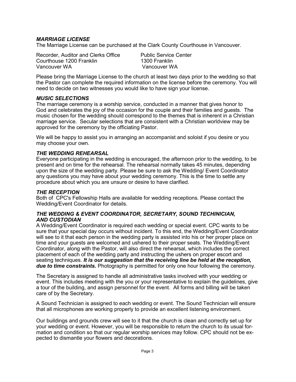# *MARRIAGE LICENSE*

The Marriage License can be purchased at the Clark County Courthouse in Vancouver.

Recorder, Auditor and Clerks Office Public Service Center<br>
Courthouse 1200 Franklin
200 Franklin
200 Franklin Courthouse 1200 Franklin<br>Vancouver WA

Vancouver WA

Please bring the Marriage License to the church at least two days prior to the wedding so that the Pastor can complete the required information on the license before the ceremony. You will need to decide on two witnesses you would like to have sign your license.

## *MUSIC SELECTIONS*

The marriage ceremony is a worship service, conducted in a manner that gives honor to God and celebrates the joy of the occasion for the couple and their families and guests. The music chosen for the wedding should correspond to the themes that is inherent in a Christian marriage service. Secular selections that are consistent with a Christian worldview may be approved for the ceremony by the officiating Pastor.

We will be happy to assist you in arranging an accompanist and soloist if you desire or you may choose your own.

#### *THE WEDDING REHEARSAL*

Everyone participating in the wedding is encouraged, the afternoon prior to the wedding, to be present and on time for the rehearsal. The rehearsal normally takes 45 minutes, depending upon the size of the wedding party. Please be sure to ask the Wedding/ Event Coordinator any questions you may have about your wedding ceremony. This is the time to settle any procedure about which you are unsure or desire to have clarified.

#### *THE RECEPTION*

Both of CPC's Fellowship Halls are available for wedding receptions. Please contact the Wedding/Event Coordinator for details.

#### *THE WEDDING & EVENT COORDINATOR, SECRETARY, SOUND TECHINICIAN, AND CUSTODIAN*

A Wedding/Event Coordinator is required each wedding or special event. CPC wants to be sure that your special day occurs without incident. To this end, the Wedding/Event Coordinator will see to it that each person in the wedding party is assisted into his or her proper place on time and your guests are welcomed and ushered to their proper seats. The Wedding/Event Coordinator, along with the Pastor, will also direct the rehearsal, which includes the correct placement of each of the wedding party and instructing the ushers on proper escort and seating techniques. *It is our suggestion that the receiving line be held at the reception, due to time constraints.* Photography is permitted for only one hour following the ceremony.

The Secretary is assigned to handle all administrative tasks involved with your wedding or event. This includes meeting with the you or your representative to explain the guidelines, give a tour of the building, and assign personnel for the event. All forms and billing will be taken care of by the Secretary.

A Sound Technician is assigned to each wedding or event. The Sound Technician will ensure that all microphones are working properly to provide an excellent listening environment.

Our buildings and grounds crew will see to it that the church is clean and correctly set up for your wedding or event. However, you will be responsible to return the church to its usual formation and condition so that our regular worship services may follow. CPC should not be expected to dismantle your flowers and decorations.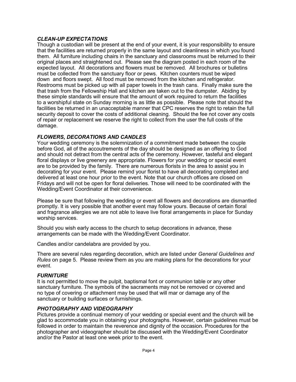# *CLEAN-UP EXPECTATIONS*

Though a custodian will be present at the end of your event, it is your responsibility to ensure that the facilities are returned properly in the same layout and cleanliness in which you found them. All furniture including chairs in the sanctuary and classrooms must be returned to their original places and straightened out. Please see the diagram posted in each room of the expected layout. All decorations and flowers must be removed. All brochures or bulletins must be collected from the sanctuary floor or pews. Kitchen counters must be wiped down and floors swept. All food must be removed from the kitchen and refrigerator. Restrooms must be picked up with all paper towels in the trash cans. Finally make sure the that trash from the Fellowship Hall and kitchen are taken out to the dumpster. Abiding by these simple standards will ensure that the amount of work required to return the facilities to a worshipful state on Sunday morning is as little as possible. Please note that should the facilities be returned in an unacceptable manner that CPC reserves the right to retain the full security deposit to cover the costs of additional cleaning. Should the fee not cover any costs of repair or replacement we reserve the right to collect from the user the full costs of the damage.

# *FLOWERS, DECORATIONS AND CANDLES*

Your wedding ceremony is the solemnization of a commitment made between the couple before God, all of the accoutrements of the day should be designed as an offering to God and should not detract from the central acts of the ceremony. However, tasteful and elegant floral displays or live greenery are appropriate. Flowers for your wedding or special event are to be provided by the family. There are numerous florists in the area to assist you in decorating for your event. Please remind your florist to have all decorating completed and delivered at least one hour prior to the event. Note that our church offices are closed on Fridays and will not be open for floral deliveries. Those will need to be coordinated with the Wedding/Event Coordinator at their convenience.

Please be sure that following the wedding or event all flowers and decorations are dismantled promptly. It is very possible that another event may follow yours. Because of certain floral and fragrance allergies we are not able to leave live floral arrangements in place for Sunday worship services.

Should you wish early access to the church to setup decorations in advance, these arrangements can be made with the Wedding/Event Coordinator.

Candles and/or candelabra are provided by you.

There are several rules regarding decoration, which are listed under *General Guidelines and Rules* on page 5. Please review them as you are making plans for the decorations for your event.

# *FURNITURE*

It is not permitted to move the pulpit, baptismal font or communion table or any other sanctuary furniture. The symbols of the sacraments may not be removed or covered and no type of covering or attachment may be used that will mar or damage any of the sanctuary or building surfaces or furnishings.

# *PHOTOGRAPHY AND VIDEOGRAPHY*

Pictures provide a continual memory of your wedding or special event and the church will be glad to accommodate you in obtaining your photographs. However, certain guidelines must be followed in order to maintain the reverence and dignity of the occasion. Procedures for the photographer and videographer should be discussed with the Wedding/Event Coordinator and/or the Pastor at least one week prior to the event.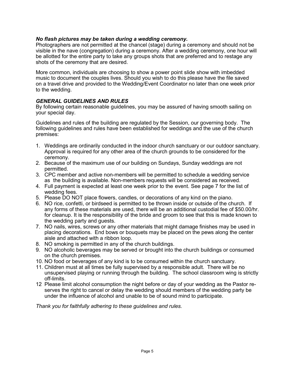## *No flash pictures may be taken during a wedding ceremony.*

Photographers are not permitted at the chancel (stage) during a ceremony and should not be visible in the nave (congregation) during a ceremony. After a wedding ceremony, one hour will be allotted for the entire party to take any groups shots that are preferred and to restage any shots of the ceremony that are desired.

More common, individuals are choosing to show a power point slide show with imbedded music to document the couples lives. Should you wish to do this please have the file saved on a travel drive and provided to the Wedding/Event Coordinator no later than one week prior to the wedding.

## *GENERAL GUIDELINES AND RULES*

By following certain reasonable guidelines, you may be assured of having smooth sailing on your special day.

Guidelines and rules of the building are regulated by the Session, our governing body. The following guidelines and rules have been established for weddings and the use of the church premises:

- 1. Weddings are ordinarily conducted in the indoor church sanctuary or our outdoor sanctuary. Approval is required for any other area of the church grounds to be considered for the ceremony.
- 2. Because of the maximum use of our building on Sundays, Sunday weddings are not permitted.
- 3. CPC member and active non-members will be permitted to schedule a wedding service as the building is available. Non-members requests will be considered as received.
- 4. Full payment is expected at least one week prior to the event. See page 7 for the list of wedding fees.
- 5. Please DO NOT place flowers, candles, or decorations of any kind on the piano.
- 6. NO rice, confetti, or birdseed is permitted to be thrown inside or outside of the church. If any forms of these materials are used, there will be an additional custodial fee of \$50.00/hr. for cleanup. It is the responsibility of the bride and groom to see that this is made known to the wedding party and guests.
- 7. NO nails, wires, screws or any other materials that might damage finishes may be used in placing decorations. End bows or bouquets may be placed on the pews along the center aisle and attached with a ribbon loop.
- 8. NO smoking is permitted in any of the church buildings.
- 9. NO alcoholic beverages may be served or brought into the church buildings or consumed on the church premises.
- 10. NO food or beverages of any kind is to be consumed within the church sanctuary.
- 11. Children must at all times be fully supervised by a responsible adult. There will be no unsupervised playing or running through the building. The school classroom wing is strictly off-limits.
- 12 Please limit alcohol consumption the night before or day of your wedding as the Pastor reserves the right to cancel or delay the wedding should members of the wedding party be under the influence of alcohol and unable to be of sound mind to participate.

*Thank you for faithfully adhering to these guidelines and rules.*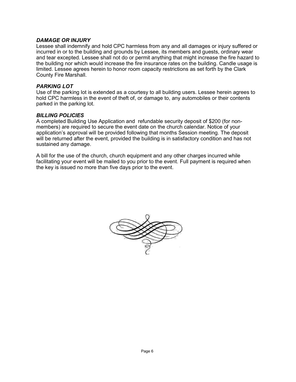## *DAMAGE OR INJURY*

Lessee shall indemnify and hold CPC harmless from any and all damages or injury suffered or incurred in or to the building and grounds by Lessee, its members and guests, ordinary wear and tear excepted. Lessee shall not do or permit anything that might increase the fire hazard to the building nor which would increase the fire insurance rates on the building. Candle usage is limited. Lessee agrees herein to honor room capacity restrictions as set forth by the Clark County Fire Marshall.

## *PARKING LOT*

Use of the parking lot is extended as a courtesy to all building users. Lessee herein agrees to hold CPC harmless in the event of theft of, or damage to, any automobiles or their contents parked in the parking lot.

#### *BILLING POLICIES*

A completed Building Use Application and refundable security deposit of \$200 (for nonmembers) are required to secure the event date on the church calendar. Notice of your application's approval will be provided following that months Session meeting. The deposit will be returned after the event, provided the building is in satisfactory condition and has not sustained any damage.

A bill for the use of the church, church equipment and any other charges incurred while facilitating your event will be mailed to you prior to the event. Full payment is required when the key is issued no more than five days prior to the event.

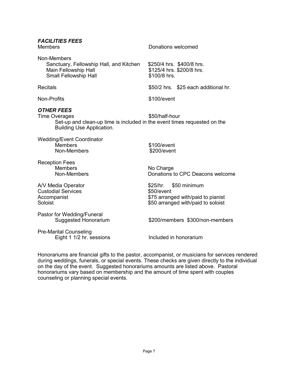| <b>FACILITIES FEES</b><br><b>Members</b>                                                                                                                  | Donations welcomed                                                                                                 |  |
|-----------------------------------------------------------------------------------------------------------------------------------------------------------|--------------------------------------------------------------------------------------------------------------------|--|
| Non-Members<br>Sanctuary, Fellowship Hall, and Kitchen<br>Main Fellowship Hall<br><b>Small Fellowship Hall</b>                                            | \$250/4 hrs. \$400/8 hrs.<br>\$125/4 hrs. \$200/8 hrs.<br>\$100/8 hrs.                                             |  |
| <b>Recitals</b>                                                                                                                                           | \$50/2 hrs. \$25 each additional hr.                                                                               |  |
| Non-Profits                                                                                                                                               | \$100/event                                                                                                        |  |
| <b>OTHER FEES</b><br><b>Time Overages</b><br>Set-up and clean-up time is included in the event times requested on the<br><b>Building Use Application.</b> | \$50/half-hour                                                                                                     |  |
| <b>Wedding/Event Coordinator</b><br><b>Members</b><br>Non-Members                                                                                         | \$100/event<br>\$200/event                                                                                         |  |
| <b>Reception Fees</b><br><b>Members</b><br>Non-Members                                                                                                    | No Charge<br>Donations to CPC Deacons welcome                                                                      |  |
| A/V Media Operator<br><b>Custodial Services</b><br>Accompanist<br>Soloist                                                                                 | \$50 minimum<br>\$25/hr.<br>\$50/event<br>\$75 arranged with/paid to pianist<br>\$50 arranged with/paid to soloist |  |
| Pastor for Wedding/Funeral<br><b>Suggested Honorarium</b>                                                                                                 | \$200/members \$300/non-members                                                                                    |  |

Pre-Marital Counseling Eight 1 1/2 hr. sessions Included in honorarium

Honorariums are financial gifts to the pastor, accompanist, or musicians for services rendered during weddings, funerals, or special events. These checks are given directly to the individual on the day of the event. Suggested honorariums amounts are listed above. Pastoral honorariums vary based on membership and the amount of time spent with couples counseling or planning special events.